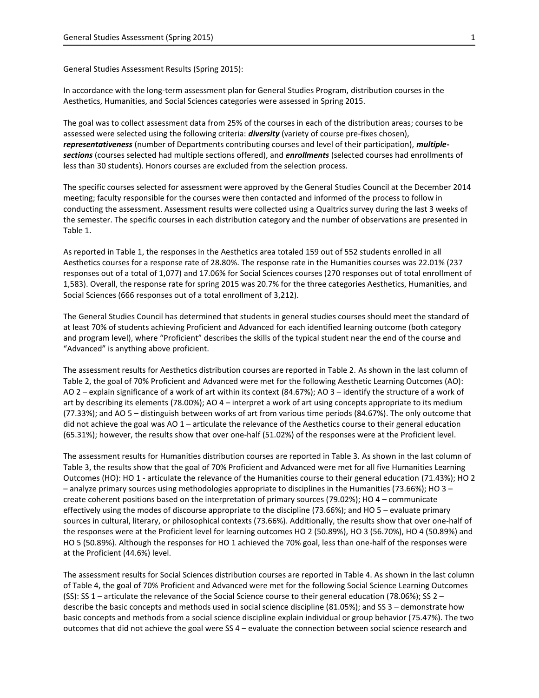General Studies Assessment Results (Spring 2015):

In accordance with the long-term assessment plan for General Studies Program, distribution courses in the Aesthetics, Humanities, and Social Sciences categories were assessed in Spring 2015.

The goal was to collect assessment data from 25% of the courses in each of the distribution areas; courses to be assessed were selected using the following criteria: *diversity* (variety of course pre-fixes chosen), *representativeness* (number of Departments contributing courses and level of their participation), *multiplesections* (courses selected had multiple sections offered), and *enrollments* (selected courses had enrollments of less than 30 students). Honors courses are excluded from the selection process.

The specific courses selected for assessment were approved by the General Studies Council at the December 2014 meeting; faculty responsible for the courses were then contacted and informed of the process to follow in conducting the assessment. Assessment results were collected using a Qualtrics survey during the last 3 weeks of the semester. The specific courses in each distribution category and the number of observations are presented in Table 1.

As reported in Table 1, the responses in the Aesthetics area totaled 159 out of 552 students enrolled in all Aesthetics courses for a response rate of 28.80%. The response rate in the Humanities courses was 22.01% (237 responses out of a total of 1,077) and 17.06% for Social Sciences courses (270 responses out of total enrollment of 1,583). Overall, the response rate for spring 2015 was 20.7% for the three categories Aesthetics, Humanities, and Social Sciences (666 responses out of a total enrollment of 3,212).

The General Studies Council has determined that students in general studies courses should meet the standard of at least 70% of students achieving Proficient and Advanced for each identified learning outcome (both category and program level), where "Proficient" describes the skills of the typical student near the end of the course and "Advanced" is anything above proficient.

The assessment results for Aesthetics distribution courses are reported in Table 2. As shown in the last column of Table 2, the goal of 70% Proficient and Advanced were met for the following Aesthetic Learning Outcomes (AO): AO 2 – explain significance of a work of art within its context (84.67%); AO 3 – identify the structure of a work of art by describing its elements (78.00%); AO 4 – interpret a work of art using concepts appropriate to its medium (77.33%); and AO 5 – distinguish between works of art from various time periods (84.67%). The only outcome that did not achieve the goal was AO 1 – articulate the relevance of the Aesthetics course to their general education (65.31%); however, the results show that over one-half (51.02%) of the responses were at the Proficient level.

The assessment results for Humanities distribution courses are reported in Table 3. As shown in the last column of Table 3, the results show that the goal of 70% Proficient and Advanced were met for all five Humanities Learning Outcomes (HO): HO 1 - articulate the relevance of the Humanities course to their general education (71.43%); HO 2 – analyze primary sources using methodologies appropriate to disciplines in the Humanities (73.66%); HO 3 – create coherent positions based on the interpretation of primary sources (79.02%); HO 4 – communicate effectively using the modes of discourse appropriate to the discipline (73.66%); and HO 5 – evaluate primary sources in cultural, literary, or philosophical contexts (73.66%). Additionally, the results show that over one-half of the responses were at the Proficient level for learning outcomes HO 2 (50.89%), HO 3 (56.70%), HO 4 (50.89%) and HO 5 (50.89%). Although the responses for HO 1 achieved the 70% goal, less than one-half of the responses were at the Proficient (44.6%) level.

The assessment results for Social Sciences distribution courses are reported in Table 4. As shown in the last column of Table 4, the goal of 70% Proficient and Advanced were met for the following Social Science Learning Outcomes (SS): SS 1 – articulate the relevance of the Social Science course to their general education (78.06%); SS 2 – describe the basic concepts and methods used in social science discipline (81.05%); and SS 3 – demonstrate how basic concepts and methods from a social science discipline explain individual or group behavior (75.47%). The two outcomes that did not achieve the goal were SS 4 – evaluate the connection between social science research and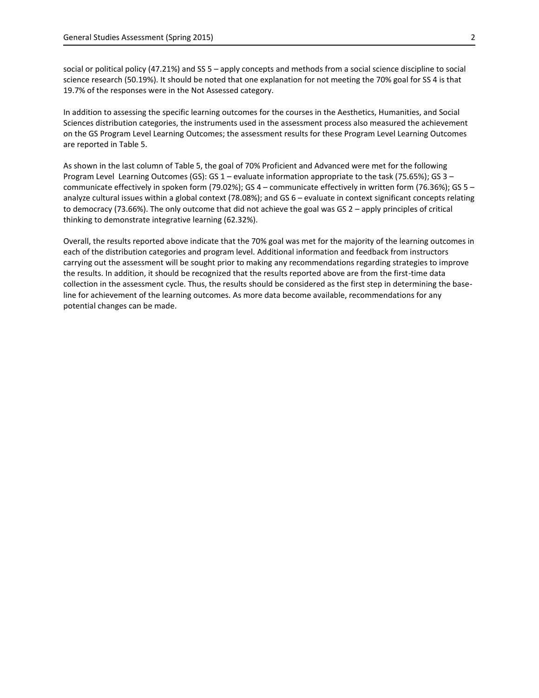social or political policy (47.21%) and SS 5 – apply concepts and methods from a social science discipline to social science research (50.19%). It should be noted that one explanation for not meeting the 70% goal for SS 4 is that 19.7% of the responses were in the Not Assessed category.

In addition to assessing the specific learning outcomes for the courses in the Aesthetics, Humanities, and Social Sciences distribution categories, the instruments used in the assessment process also measured the achievement on the GS Program Level Learning Outcomes; the assessment results for these Program Level Learning Outcomes are reported in Table 5.

As shown in the last column of Table 5, the goal of 70% Proficient and Advanced were met for the following Program Level Learning Outcomes (GS): GS 1 – evaluate information appropriate to the task (75.65%); GS 3 – communicate effectively in spoken form (79.02%); GS 4 – communicate effectively in written form (76.36%); GS 5 – analyze cultural issues within a global context (78.08%); and GS 6 – evaluate in context significant concepts relating to democracy (73.66%). The only outcome that did not achieve the goal was GS 2 – apply principles of critical thinking to demonstrate integrative learning (62.32%).

Overall, the results reported above indicate that the 70% goal was met for the majority of the learning outcomes in each of the distribution categories and program level. Additional information and feedback from instructors carrying out the assessment will be sought prior to making any recommendations regarding strategies to improve the results. In addition, it should be recognized that the results reported above are from the first-time data collection in the assessment cycle. Thus, the results should be considered as the first step in determining the baseline for achievement of the learning outcomes. As more data become available, recommendations for any potential changes can be made.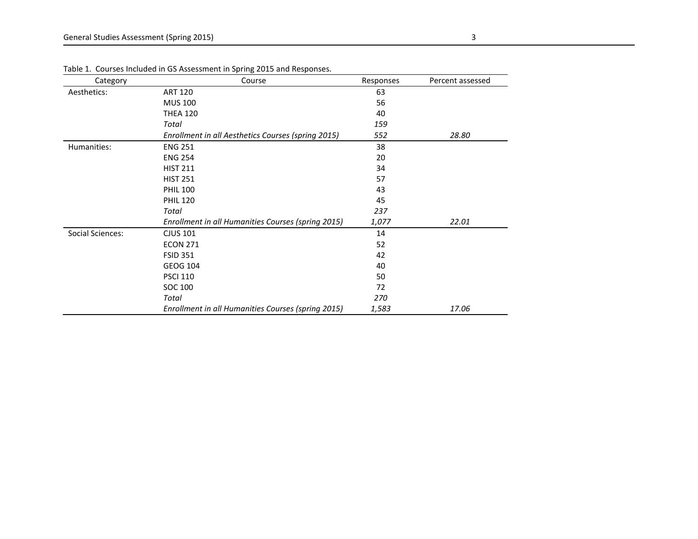| Category                | Course                                             | Responses | Percent assessed |
|-------------------------|----------------------------------------------------|-----------|------------------|
| Aesthetics:             | <b>ART 120</b>                                     | 63        |                  |
|                         | <b>MUS 100</b>                                     | 56        |                  |
|                         | <b>THEA 120</b>                                    | 40        |                  |
|                         | Total                                              | 159       |                  |
|                         | Enrollment in all Aesthetics Courses (spring 2015) | 552       | 28.80            |
| Humanities:             | <b>ENG 251</b>                                     | 38        |                  |
|                         | <b>ENG 254</b>                                     | 20        |                  |
|                         | <b>HIST 211</b>                                    | 34        |                  |
|                         | <b>HIST 251</b>                                    | 57        |                  |
|                         | <b>PHIL 100</b>                                    | 43        |                  |
|                         | <b>PHIL 120</b>                                    | 45        |                  |
|                         | Total                                              | 237       |                  |
|                         | Enrollment in all Humanities Courses (spring 2015) | 1,077     | 22.01            |
| <b>Social Sciences:</b> | <b>CJUS 101</b>                                    | 14        |                  |
|                         | <b>ECON 271</b>                                    | 52        |                  |
|                         | <b>FSID 351</b>                                    | 42        |                  |
|                         | <b>GEOG 104</b>                                    | 40        |                  |
|                         | <b>PSCI 110</b>                                    | 50        |                  |
|                         | SOC 100                                            | 72        |                  |
|                         | Total                                              | 270       |                  |
|                         | Enrollment in all Humanities Courses (spring 2015) | 1,583     | 17.06            |

Table 1. Courses Included in GS Assessment in Spring 2015 and Responses.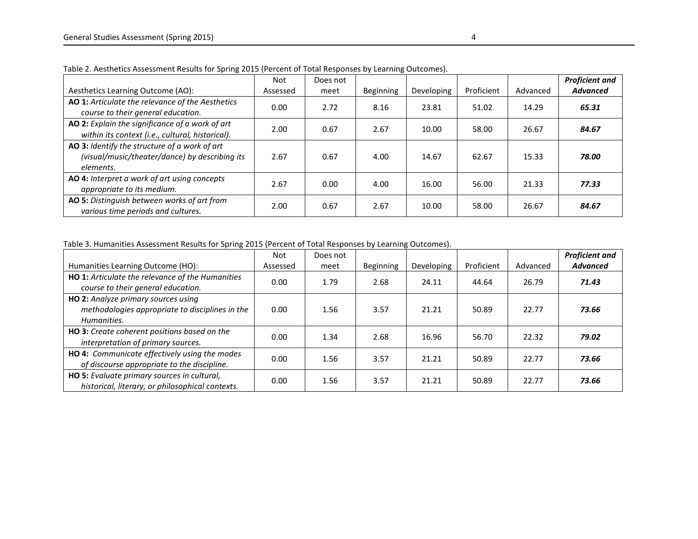|                                                                                                              | <b>Not</b> | Does not |                  |            |            |          | <b>Proficient and</b> |
|--------------------------------------------------------------------------------------------------------------|------------|----------|------------------|------------|------------|----------|-----------------------|
| Aesthetics Learning Outcome (AO):                                                                            | Assessed   | meet     | <b>Beginning</b> | Developing | Proficient | Advanced | <b>Advanced</b>       |
| AO 1: Articulate the relevance of the Aesthetics<br>course to their general education.                       | 0.00       | 2.72     | 8.16             | 23.81      | 51.02      | 14.29    | 65.31                 |
| AO 2: Explain the significance of a work of art<br>within its context (i.e., cultural, historical).          | 2.00       | 0.67     | 2.67             | 10.00      | 58.00      | 26.67    | 84.67                 |
| AO 3: Identify the structure of a work of art<br>(visual/music/theater/dance) by describing its<br>elements. | 2.67       | 0.67     | 4.00             | 14.67      | 62.67      | 15.33    | 78.00                 |
| AO 4: Interpret a work of art using concepts<br>appropriate to its medium.                                   | 2.67       | 0.00     | 4.00             | 16.00      | 56.00      | 21.33    | 77.33                 |
| AO 5: Distinguish between works of art from<br>various time periods and cultures.                            | 2.00       | 0.67     | 2.67             | 10.00      | 58.00      | 26.67    | 84.67                 |

Table 2. Aesthetics Assessment Results for Spring 2015 (Percent of Total Responses by Learning Outcomes).

Table 3. Humanities Assessment Results for Spring 2015 (Percent of Total Responses by Learning Outcomes).

| Humanities Learning Outcome (HO):                                                                     | <b>Not</b><br>Assessed | Does not<br>meet | Beginning | Developing | Proficient | Advanced | <b>Proficient and</b><br><b>Advanced</b> |
|-------------------------------------------------------------------------------------------------------|------------------------|------------------|-----------|------------|------------|----------|------------------------------------------|
| HO 1: Articulate the relevance of the Humanities<br>course to their general education.                | 0.00                   | 1.79             | 2.68      | 24.11      | 44.64      | 26.79    | 71.43                                    |
| HO 2: Analyze primary sources using<br>methodologies appropriate to disciplines in the<br>Humanities. | 0.00                   | 1.56             | 3.57      | 21.21      | 50.89      | 22.77    | 73.66                                    |
| HO 3: Create coherent positions based on the<br>interpretation of primary sources.                    | 0.00                   | 1.34             | 2.68      | 16.96      | 56.70      | 22.32    | 79.02                                    |
| HO 4: Communicate effectively using the modes<br>of discourse appropriate to the discipline.          | 0.00                   | 1.56             | 3.57      | 21.21      | 50.89      | 22.77    | 73.66                                    |
| HO 5: Evaluate primary sources in cultural,<br>historical, literary, or philosophical contexts.       | 0.00                   | 1.56             | 3.57      | 21.21      | 50.89      | 22.77    | 73.66                                    |